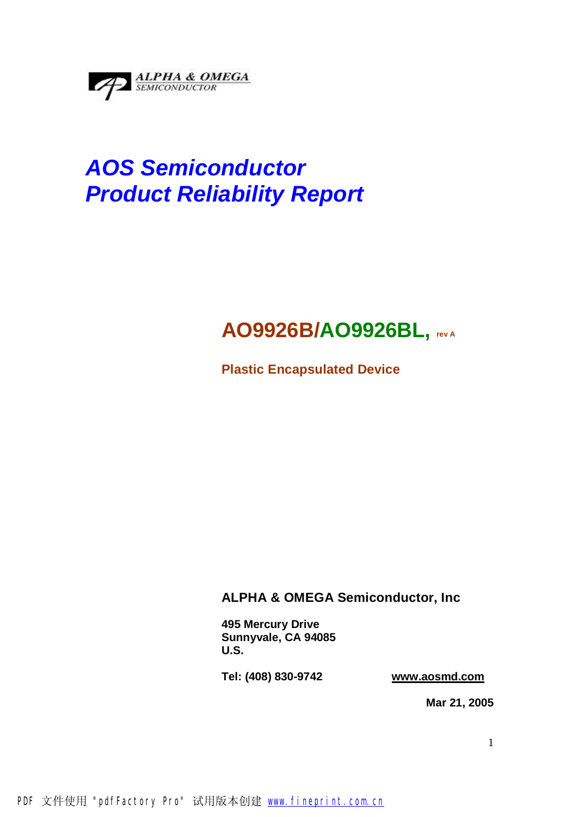

# *AOS Semiconductor Product Reliability Report*

# **AO9926B/AO9926BL, rev <sup>A</sup>**

**Plastic Encapsulated Device** 

# **ALPHA & OMEGA Semiconductor, Inc**

**495 Mercury Drive Sunnyvale, CA 94085 U.S.** 

**Tel: (408) 830-9742 [www.aosmd.com](http://www.aosmd.com)**

**Mar 21, 2005**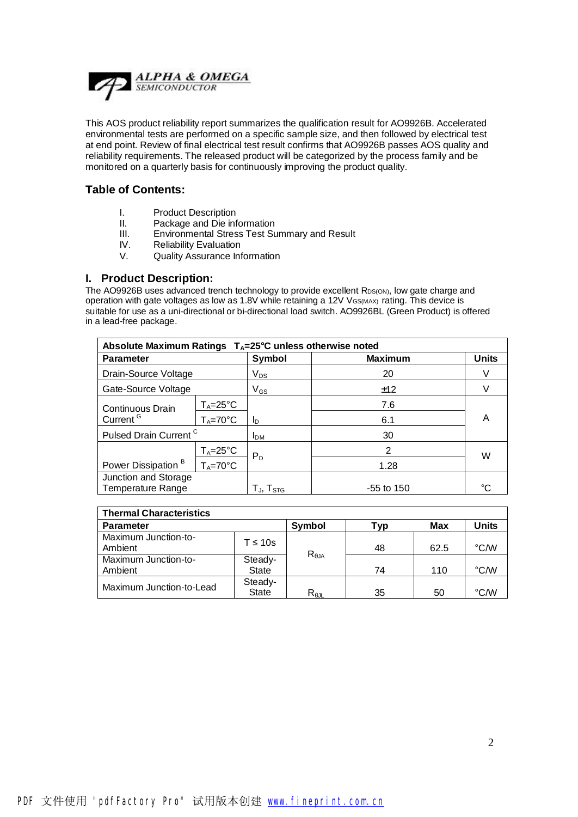

This AOS product reliability report summarizes the qualification result for AO9926B. Accelerated environmental tests are performed on a specific sample size, and then followed by electrical test at end point. Review of final electrical test result confirms that AO9926B passes AOS quality and reliability requirements. The released product will be categorized by the process family and be monitored on a quarterly basis for continuously improving the product quality.

#### **Table of Contents:**

- I. Product Description
- II. Package and Die information
- III. Environmental Stress Test Summary and Result
- IV. Reliability Evaluation
- V. Quality Assurance Information

#### **I. Product Description:**

The AO9926B uses advanced trench technology to provide excellent RDS(ON), low gate charge and operation with gate voltages as low as 1.8V while retaining a 12V VGS(MAX) rating. This device is suitable for use as a uni-directional or bi-directional load switch. AO9926BL (Green Product) is offered in a lead-free package.

| Absolute Maximum Ratings $T_A = 25^\circ C$ unless otherwise noted |                     |                              |                |              |  |  |
|--------------------------------------------------------------------|---------------------|------------------------------|----------------|--------------|--|--|
| <b>Parameter</b>                                                   |                     | Symbol                       | <b>Maximum</b> | <b>Units</b> |  |  |
| Drain-Source Voltage                                               |                     | $V_{DS}$                     | 20             |              |  |  |
| Gate-Source Voltage                                                |                     | $\mathsf{V}_{\mathsf{GS}}$   | ±12            |              |  |  |
| Continuous Drain                                                   | $T_A = 25^\circ C$  |                              | 7.6            |              |  |  |
| Current <sup>G</sup>                                               | $T_A = 70^{\circ}C$ | ID                           | 6.1            | Α            |  |  |
| Pulsed Drain Current <sup>C</sup>                                  |                     | IDM                          | 30             |              |  |  |
|                                                                    | $T_A = 25^\circ C$  | $P_D$                        | 2              | W            |  |  |
| Power Dissipation <sup>B</sup>                                     | $T_A = 70^{\circ}C$ |                              | 1.28           |              |  |  |
| Junction and Storage<br>Temperature Range                          |                     | T $_{\sf J},$ T $_{\sf STG}$ | $-55$ to 150   | $\sim$       |  |  |

| <b>Thermal Characteristics</b>  |                         |                |     |      |              |  |  |
|---------------------------------|-------------------------|----------------|-----|------|--------------|--|--|
| <b>Parameter</b>                |                         | Symbol         | Typ | Max  | <b>Units</b> |  |  |
| Maximum Junction-to-<br>Ambient | $T \leq 10s$            |                | 48  | 62.5 | °C/W         |  |  |
| Maximum Junction-to-<br>Ambient | Steady-<br><b>State</b> | $R_{\theta$ JA | 74  | 110  | °C/W         |  |  |
| Maximum Junction-to-Lead        | Steady-<br><b>State</b> | $R_{\theta$ JL | 35  | 50   | °C/W         |  |  |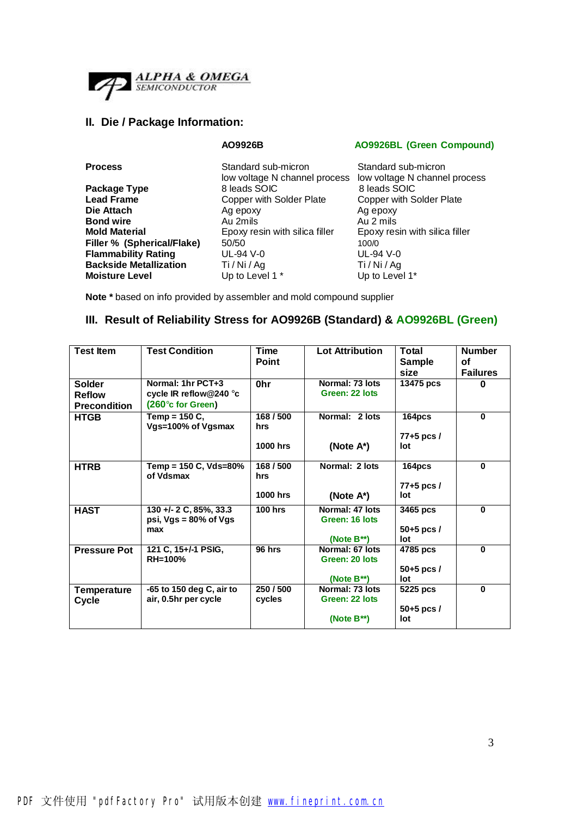

### **II. Die / Package Information:**

**AO9926B AO9926BL (Green Compound)**

| <b>Process</b>                | Standard sub-micron<br>low voltage N channel process | Standard sub-micron<br>low voltage N channe |  |  |
|-------------------------------|------------------------------------------------------|---------------------------------------------|--|--|
| Package Type                  | 8 leads SOIC                                         | 8 leads SOIC                                |  |  |
| <b>Lead Frame</b>             | Copper with Solder Plate                             | Copper with Solder P                        |  |  |
| Die Attach                    | Ag epoxy                                             | Ag epoxy                                    |  |  |
| <b>Bond wire</b>              | Au 2mils                                             | Au 2 mils                                   |  |  |
| <b>Mold Material</b>          | Epoxy resin with silica filler                       | Epoxy resin with silica                     |  |  |
| Filler % (Spherical/Flake)    | 50/50                                                | 100/0                                       |  |  |
| <b>Flammability Rating</b>    | UL-94 V-0                                            | UL-94 V-0                                   |  |  |
| <b>Backside Metallization</b> | Ti / Ni / Ag                                         | Ti/Ni/Ag                                    |  |  |
| <b>Moisture Level</b>         | Up to Level 1 *                                      | Up to Level 1*                              |  |  |
|                               |                                                      |                                             |  |  |

cess low voltage N channel process **Package Type** 8 leads SOIC8 leads SOIC **Copper with Solder Plate Ag epoxy Bond wire** Au 2mils Au 2 mils **Molda** Epoxy resin with silica filler **Flammability Rating** UL-94 V-0 UL-94 V-0 **Backside Metallization** Ti / Ni / Ag Ti / Ni / Ag

**Note \*** based on info provided by assembler and mold compound supplier

## **III. Result of Reliability Stress for AO9926B (Standard) & AO9926BL (Green)**

| <b>Test Item</b>                               | <b>Test Condition</b>                                            | <b>Time</b><br><b>Point</b>         | <b>Lot Attribution</b>                                | <b>Total</b><br><b>Sample</b><br>size | <b>Number</b><br>οf<br><b>Failures</b> |
|------------------------------------------------|------------------------------------------------------------------|-------------------------------------|-------------------------------------------------------|---------------------------------------|----------------------------------------|
| Solder<br><b>Reflow</b><br><b>Precondition</b> | Normal: 1hr PCT+3<br>cycle IR reflow@240 °c<br>(260°c for Green) | 0hr                                 | Normal: 73 lots<br>Green: 22 lots                     | 13475 pcs                             | $\bf{0}$                               |
| <b>HTGB</b>                                    | Temp = $150C$ ,<br>Vgs=100% of Vgsmax                            | 168/500<br>hrs<br>1000 hrs          | Normal: 2 lots<br>(Note A*)                           | 164pcs<br>$77+5$ pcs $/$<br>lot       | $\bf{0}$                               |
| <b>HTRB</b>                                    | Temp = 150 C, Vds=80%<br>of Vdsmax                               | 168 / 500<br>hrs<br><b>1000 hrs</b> | Normal: 2 lots<br>(Note $A^*$ )                       | 164pcs<br>$77+5$ pcs $/$<br>lot       | $\bf{0}$                               |
| <b>HAST</b>                                    | 130 +/- 2 C, 85%, 33.3<br>psi, $Vgs = 80\%$ of $Vgs$<br>max      | <b>100 hrs</b>                      | Normal: 47 lots<br>Green: 16 lots<br>(Note $B^{**}$ ) | 3465 pcs<br>$50+5$ pcs /<br>lot       | $\bf{0}$                               |
| <b>Pressure Pot</b>                            | 121 C, 15+/-1 PSIG,<br>RH=100%                                   | 96 hrs                              | Normal: 67 lots<br>Green: 20 lots<br>(Note $B^{**}$ ) | 4785 pcs<br>$50+5$ pcs /<br>lot       | $\bf{0}$                               |
| Temperature<br>Cycle                           | -65 to 150 deg C, air to<br>air, 0.5hr per cycle                 | 250 / 500<br>cycles                 | Normal: 73 lots<br>Green: 22 lots<br>(Note $B^{**}$ ) | 5225 pcs<br>$50+5$ pcs /<br>lot       | $\bf{0}$                               |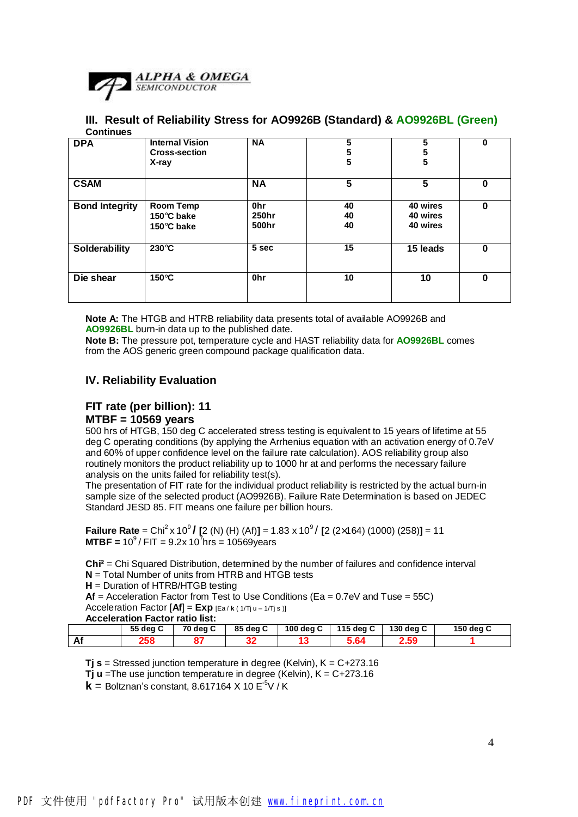

#### **III. Result of Reliability Stress for AO9926B (Standard) & AO9926BL (Green) Continues**

| <b>DPA</b>            | <b>Internal Vision</b><br><b>Cross-section</b><br>X-ray | <b>NA</b>                         | 5<br>5<br>5    | 5<br>5<br>5                      | $\mathbf 0$ |
|-----------------------|---------------------------------------------------------|-----------------------------------|----------------|----------------------------------|-------------|
| <b>CSAM</b>           |                                                         | <b>NA</b>                         | 5              | 5                                | 0           |
| <b>Bond Integrity</b> | <b>Room Temp</b><br>150°C bake<br>150°C bake            | 0 <sub>hr</sub><br>250hr<br>500hr | 40<br>40<br>40 | 40 wires<br>40 wires<br>40 wires | 0           |
| Solderability         | $230^{\circ}$ C                                         | 5 sec                             | 15             | 15 leads                         | $\bf{0}$    |
| Die shear             | $150^{\circ}$ C                                         | <b>Ohr</b>                        | 10             | 10                               | $\bf{0}$    |

**Note A:** The HTGB and HTRB reliability data presents total of available AO9926B and **AO9926BL** burn-in data up to the published date.

**Note B:** The pressure pot, temperature cycle and HAST reliability data for **AO9926BL** comes from the AOS generic green compound package qualification data.

#### **IV. Reliability Evaluation**

#### **FIT rate (per billion): 11 MTBF = 10569 years**

500 hrs of HTGB, 150 deg C accelerated stress testing is equivalent to 15 years of lifetime at 55 deg C operating conditions (by applying the Arrhenius equation with an activation energy of 0.7eV and 60% of upper confidence level on the failure rate calculation). AOS reliability group also routinely monitors the product reliability up to 1000 hr at and performs the necessary failure analysis on the units failed for reliability test(s).

The presentation of FIT rate for the individual product reliability is restricted by the actual burn-in sample size of the selected product (AO9926B). Failure Rate Determination is based on JEDEC Standard JESD 85. FIT means one failure per billion hours.

**Failure Rate** = Chi<sup>2</sup> x 10<sup>9</sup> / [2 (N) (H) (Af)] = 1.83 x 10<sup>9</sup> / [2 (2×164) (1000) (258)] = 11 **MTBF** =  $10^9$  / FIT =  $9.2x 10^7$ hrs =  $10569$ years

**Chi²** = Chi Squared Distribution, determined by the number of failures and confidence interval **N** = Total Number of units from HTRB and HTGB tests

**H** = Duration of HTRB/HTGB testing

**Af** = Acceleration Factor from Test to Use Conditions (Ea = 0.7eV and Tuse = 55C) Acceleration Factor [**Af**] = **Exp** [Ea / **k** ( 1/Tj <sup>u</sup>– 1/Tj <sup>s</sup> )]

#### **Acceleration Factor ratio list:**

|    | 55 deg C | 70 dea C | 85 deg C | 100 deg C | 115 deg C | 130 deg C | 150 deg C |
|----|----------|----------|----------|-----------|-----------|-----------|-----------|
| Af | 258      |          | 21<br>JZ |           | 5.64      | 2.59      |           |

**Tj s** = Stressed junction temperature in degree (Kelvin), K = C+273.16

**Tj u** =The use junction temperature in degree (Kelvin), K = C+273.16

 $k =$  Boltznan's constant, 8.617164 X 10  $E^{-5}V/K$